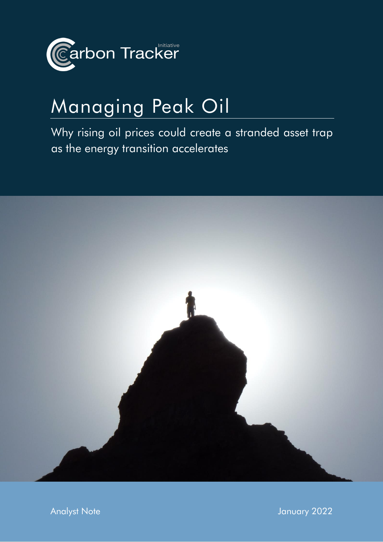

# Managing Peak Oil

Why rising oil prices could create a stranded asset trap as the energy transition accelerates



Analyst Note January 2022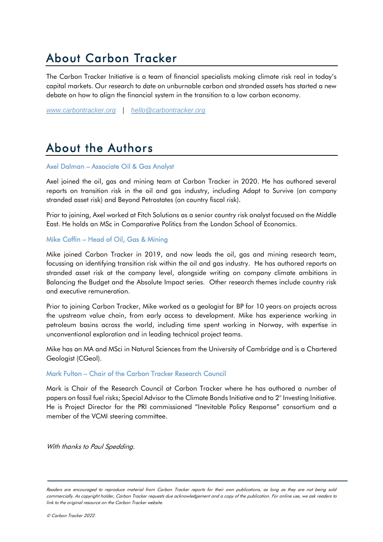# About Carbon Tracker

The Carbon Tracker Initiative is a team of financial specialists making climate risk real in today's capital markets. Our research to date on unburnable carbon and stranded assets has started a new debate on how to align the financial system in the transition to a low carbon economy.

*[www.carbontracker.org](http://www.carbontracker.org/)* | *[hello@carbontracker.org](mailto:hello@carbontracker.org)*

# About the Authors

#### Axel Dalman – Associate Oil & Gas Analyst

Axel joined the oil, gas and mining team at Carbon Tracker in 2020. He has authored several reports on transition risk in the oil and gas industry, including Adapt to Survive (on company stranded asset risk) and Beyond Petrostates (on country fiscal risk).

Prior to joining, Axel worked at Fitch Solutions as a senior country risk analyst focused on the Middle East. He holds an MSc in Comparative Politics from the London School of Economics.

#### Mike Coffin – Head of Oil, Gas & Mining

Mike joined Carbon Tracker in 2019, and now leads the oil, gas and mining research team, focussing on identifying transition risk within the oil and gas industry. He has authored reports on stranded asset risk at the company level, alongside writing on company climate ambitions in Balancing the Budget and the Absolute Impact series. Other research themes include country risk and executive remuneration.

Prior to joining Carbon Tracker, Mike worked as a geologist for BP for 10 years on projects across the upstream value chain, from early access to development. Mike has experience working in petroleum basins across the world, including time spent working in Norway, with expertise in unconventional exploration and in leading technical project teams.

Mike has an MA and MSci in Natural Sciences from the University of Cambridge and is a Chartered Geologist (CGeol).

#### Mark Fulton – Chair of the Carbon Tracker Research Council

Mark is Chair of the Research Council at Carbon Tracker where he has authored a number of papers on fossil fuel risks; Special Advisor to the Climate Bonds Initiative and to 2° Investing Initiative. He is Project Director for the PRI commissioned "Inevitable Policy Response" consortium and a member of the VCMI steering committee.

With thanks to Paul Spedding.

Readers are encouraged to reproduce material from Carbon Tracker reports for their own publications, as long as they are not being sold commercially. As copyright holder, Carbon Tracker requests due acknowledgement and a copy of the publication. For online use, we ask readers to link to the original resource on the Carbon Tracker website.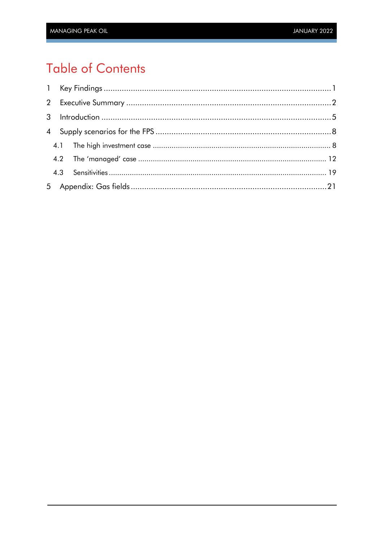# **Table of Contents**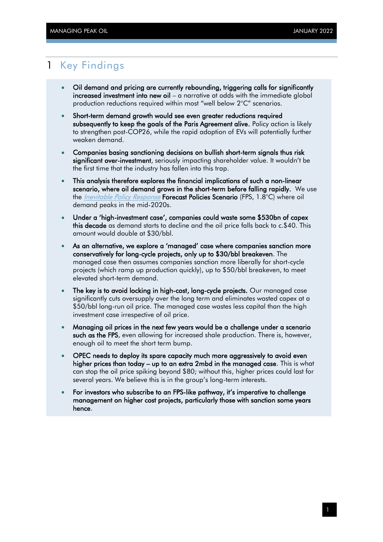### <span id="page-3-0"></span>1 Key Findings

- Oil demand and pricing are currently rebounding, triggering calls for significantly increased investment into new oil – a narrative at odds with the immediate global production reductions required within most "well below 2°C" scenarios.
- Short-term demand growth would see even greater reductions required subsequently to keep the goals of the Paris Agreement alive. Policy action is likely to strengthen post-COP26, while the rapid adoption of EVs will potentially further weaken demand.
- Companies basing sanctioning decisions on bullish short-term signals thus risk significant over-investment, seriously impacting shareholder value. It wouldn't be the first time that the industry has fallen into this trap.
- This analysis therefore explores the financial implications of such a non-linear scenario, where oil demand grows in the short-term before falling rapidly. We use the *[Inevitable Policy Response](https://www.unpri.org/sustainability-issues/climate-change/inevitable-policy-response)* Forecast Policies Scenario (FPS, 1.8°C) where oil demand peaks in the mid-2020s.
- Under a 'high-investment case', companies could waste some \$530bn of capex this decade as demand starts to decline and the oil price falls back to c.\$40. This amount would double at \$30/bbl.
- As an alternative, we explore a 'managed' case where companies sanction more conservatively for long-cycle projects, only up to \$30/bbl breakeven. The managed case then assumes companies sanction more liberally for short-cycle projects (which ramp up production quickly), up to \$50/bbl breakeven, to meet elevated short-term demand.
- The key is to avoid locking in high-cost, long-cycle projects. Our managed case significantly cuts oversupply over the long term and eliminates wasted capex at a \$50/bbl long-run oil price. The managed case wastes less capital than the high investment case irrespective of oil price.
- Managing oil prices in the next few years would be a challenge under a scenario such as the FPS, even allowing for increased shale production. There is, however, enough oil to meet the short term bump.
- OPEC needs to deploy its spare capacity much more aggressively to avoid even higher prices than today – up to an extra 2mbd in the managed case. This is what can stop the oil price spiking beyond \$80; without this, higher prices could last for several years. We believe this is in the group's long-term interests.
- For investors who subscribe to an FPS-like pathway, it's imperative to challenge management on higher cost projects, particularly those with sanction some years hence.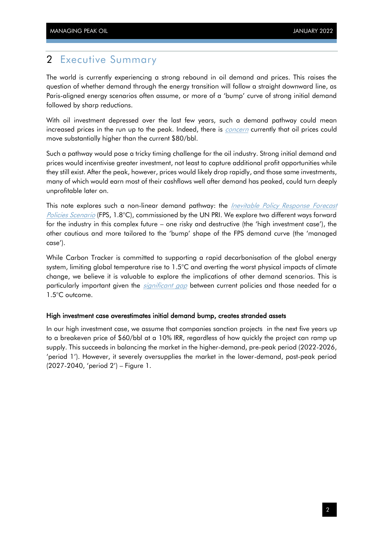### <span id="page-4-0"></span>2 Executive Summary

The world is currently experiencing a strong rebound in oil demand and prices. This raises the question of whether demand through the energy transition will follow a straight downward line, as Paris-aligned energy scenarios often assume, or more of a 'bump' curve of strong initial demand followed by sharp reductions.

With oil investment depressed over the last few years, such a demand pathway could mean increased prices in the run up to the peak. Indeed, there is *[concern](https://www.reuters.com/business/energy/oil-prices-could-hit-100-demand-outstrips-supply-analysts-say-2022-01-12/)* currently that oil prices could move substantially higher than the current \$80/bbl.

Such a pathway would pose a tricky timing challenge for the oil industry. Strong initial demand and prices would incentivise greater investment, not least to capture additional profit opportunities while they still exist. After the peak, however, prices would likely drop rapidly, and those same investments, many of which would earn most of their cashflows well after demand has peaked, could turn deeply unprofitable later on.

This note explores such a non-linear demand pathway: the *Inevitable Policy Response Forecast* [Policies Scenario](https://www.unpri.org/sustainability-issues/climate-change/inevitable-policy-response) (FPS, 1.8°C), commissioned by the UN PRI. We explore two different ways forward for the industry in this complex future – one risky and destructive (the 'high investment case'), the other cautious and more tailored to the 'bump' shape of the FPS demand curve (the 'managed case').

While Carbon Tracker is committed to supporting a rapid decarbonisation of the global energy system, limiting global temperature rise to 1.5°C and averting the worst physical impacts of climate change, we believe it is valuable to explore the implications of other demand scenarios. This is particularly important given the *[significant gap](https://climateactiontracker.org/)* between current policies and those needed for a 1.5°C outcome.

#### High investment case overestimates initial demand bump, creates stranded assets

In our high investment case, we assume that companies sanction projects in the next five years up to a breakeven price of \$60/bbl at a 10% IRR, regardless of how quickly the project can ramp up supply. This succeeds in balancing the market in the higher-demand, pre-peak period (2022-2026, 'period 1'). However, it severely oversupplies the market in the lower-demand, post-peak period (2027-2040, 'period 2') – [Figure 1.](#page-5-0)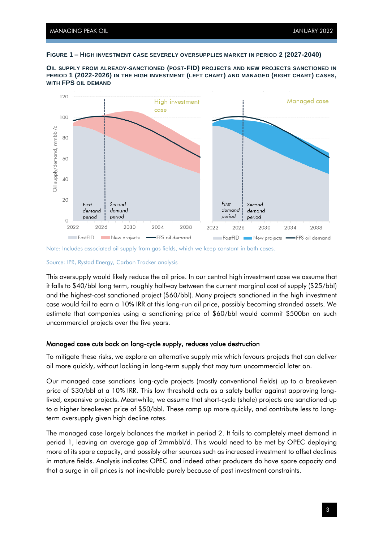#### <span id="page-5-0"></span>**FIGURE 1 – HIGH INVESTMENT CASE SEVERELY OVERSUPPLIES MARKET IN PERIOD 2 (2027-2040)**



**OIL SUPPLY FROM ALREADY-SANCTIONED (POST-FID) PROJECTS AND NEW PROJECTS SANCTIONED IN PERIOD 1 (2022-2026) IN THE HIGH INVESTMENT (LEFT CHART) AND MANAGED (RIGHT CHART) CASES, WITH FPS OIL DEMAND**

#### Source: IPR, Rystad Energy, Carbon Tracker analysis

This oversupply would likely reduce the oil price. In our central high investment case we assume that it falls to \$40/bbl long term, roughly halfway between the current marginal cost of supply (\$25/bbl) and the highest-cost sanctioned project (\$60/bbl). Many projects sanctioned in the high investment case would fail to earn a 10% IRR at this long-run oil price, possibly becoming stranded assets. We estimate that companies using a sanctioning price of \$60/bbl would commit \$500bn on such uncommercial projects over the five years.

#### Managed case cuts back on long-cycle supply, reduces value destruction

To mitigate these risks, we explore an alternative supply mix which favours projects that can deliver oil more quickly, without locking in long-term supply that may turn uncommercial later on.

Our managed case sanctions long-cycle projects (mostly conventional fields) up to a breakeven price of \$30/bbl at a 10% IRR. This low threshold acts as a safety buffer against approving longlived, expensive projects. Meanwhile, we assume that short-cycle (shale) projects are sanctioned up to a higher breakeven price of \$50/bbl. These ramp up more quickly, and contribute less to longterm oversupply given high decline rates.

The managed case largely balances the market in period 2. It fails to completely meet demand in period 1, leaving an average gap of 2mmbbl/d. This would need to be met by OPEC deploying more of its spare capacity, and possibly other sources such as increased investment to offset declines in mature fields. Analysis indicates OPEC and indeed other producers do have spare capacity and that a surge in oil prices is not inevitable purely because of past investment constraints.

Note: Includes associated oil supply from gas fields, which we keep constant in both cases.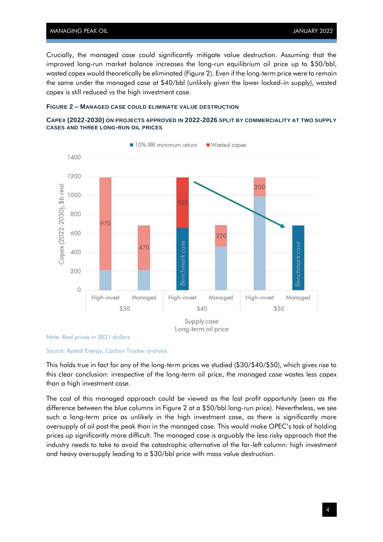Crucially, the managed case could significantly mitigate value destruction. Assuming that the improved long-run market balance increases the long-run equilibrium oil price up to \$50/bbl, wasted capex would theoretically be eliminated [\(Figure 2\)](#page-6-0). Even if the long-term price were to remain the same under the managed case at \$40/bbl (unlikely given the lower locked-in supply), wasted capex is still reduced vs the high investment case.

#### <span id="page-6-0"></span>**FIGURE 2 – MANAGED CASE COULD ELIMINATE VALUE DESTRUCTION**





Note: Real prices in 2021 dollars.

#### Source: Rystad Energy, Carbon Tracker analysis

This holds true in fact for any of the long-term prices we studied (\$30/\$40/\$50), which gives rise to this clear conclusion: irrespective of the long-term oil price, the managed case wastes less capex than a high investment case.

The cost of this managed approach could be viewed as the lost profit opportunity (seen as the difference between the blue columns in [Figure 2](#page-6-0) at a \$50/bbl long-run price). Nevertheless, we see such a long-term price as unlikely in the high investment case, as there is significantly more oversupply of oil post the peak than in the managed case. This would make OPEC's task of holding prices up significantly more difficult. The managed case is arguably the less risky approach that the industry needs to take to avoid the catastrophic alternative of the far-left column: high investment and heavy oversupply leading to a \$30/bbl price with mass value destruction.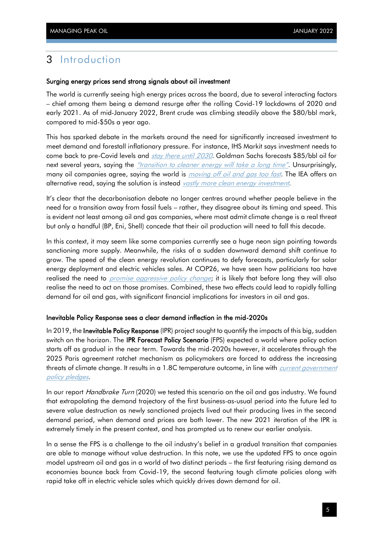## <span id="page-7-0"></span>3 Introduction

#### Surging energy prices send strong signals about oil investment

The world is currently seeing high energy prices across the board, due to several interacting factors – chief among them being a demand resurge after the rolling Covid-19 lockdowns of 2020 and early 2021. As of mid-January 2022, Brent crude was climbing steadily above the \$80/bbl mark, compared to mid-\$50s a year ago.

This has sparked debate in the markets around the need for significantly increased investment to meet demand and forestall inflationary pressure. For instance, IHS Markit says investment needs to come back to pre-Covid levels and *[stay there until 2030](https://news.ihsmarkit.com/prviewer/release_only/slug/bizwire-2021-12-7-deepening-underinvestment-in-hydrocarbons-raises-specter-of-continued-price-shocks-and-volatility)*. Goldman Sachs forecasts \$85/bbl oil for next several years, saying the *["transition to cleaner energy will take a long time"](https://www.cnbc.com/2021/10/14/goldman-sees-sustained-high-prices-for-oil-in-the-coming-year.html)*. Unsurprisingly, many oil companies agree, saying the world is *[moving off oil and gas too fast](https://www.reuters.com/markets/commodities/oil-ceos-raise-alarm-over-markets-readiness-drop-fossil-fuels-2021-12-07/)*. The IEA offers an alternative read, saying the solution is instead [vastly more clean energy investment](https://www.iea.org/reports/oil-market-report-october-2021).

It's clear that the decarbonisation debate no longer centres around whether people believe in the need for a transition away from fossil fuels – rather, they disagree about its timing and speed. This is evident not least among oil and gas companies, where most admit climate change is a real threat but only a handful (BP, Eni, Shell) concede that their oil production will need to fall this decade.

In this context, it may seem like some companies currently see a huge neon sign pointing towards sanctioning more supply. Meanwhile, the risks of a sudden downward demand shift continue to grow. The speed of the clean energy revolution continues to defy forecasts, particularly for solar energy deployment and electric vehicles sales. At COP26, we have seen how politicians too have realised the need to *promise [aggressive policy change](https://www.iea.org/commentaries/cop26-climate-pledges-could-help-limit-global-warming-to-1-8-c-but-implementing-them-will-be-the-key)*; it is likely that before long they will also realise the need to act on those promises. Combined, these two effects could lead to rapidly falling demand for oil and gas, with significant financial implications for investors in oil and gas.

#### Inevitable Policy Response sees a clear demand inflection in the mid-2020s

In 2019, the Inevitable Policy Response (IPR) project sought to quantify the impacts of this big, sudden switch on the horizon. The **IPR Forecast Policy Scenario** (FPS) expected a world where policy action starts off as gradual in the near term. Towards the mid-2020s however, it accelerates through the 2025 Paris agreement ratchet mechanism as policymakers are forced to address the increasing threats of climate change. It results in a 1.8C temperature outcome, in line with *current government* [policy pledges](https://www.iea.org/commentaries/cop26-climate-pledges-could-help-limit-global-warming-to-1-8-c-but-implementing-them-will-be-the-key).

In our report *Handbrake Turn* (2020) we tested this scenario on the oil and gas industry. We found that extrapolating the demand trajectory of the first business-as-usual period into the future led to severe value destruction as newly sanctioned projects lived out their producing lives in the second demand period, when demand and prices are both lower. The new 2021 iteration of the IPR is extremely timely in the present context, and has prompted us to renew our earlier analysis.

In a sense the FPS is a challenge to the oil industry's belief in a gradual transition that companies are able to manage without value destruction. In this note, we use the updated FPS to once again model upstream oil and gas in a world of two distinct periods – the first featuring rising demand as economies bounce back from Covid-19, the second featuring tough climate policies along with rapid take off in electric vehicle sales which quickly drives down demand for oil.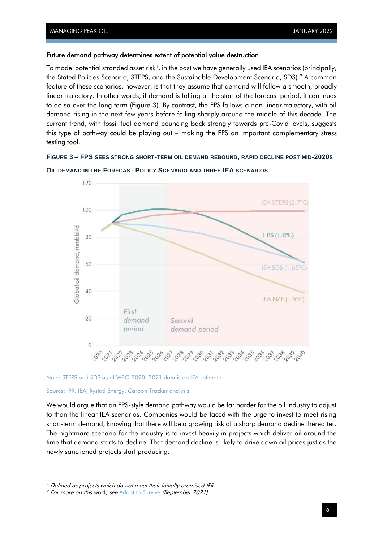#### Future demand pathway determines extent of potential value destruction

To model potential stranded asset risk<sup>1</sup>, in the past we have generally used IEA scenarios (principally,  $\,$ the Stated Policies Scenario, STEPS, and the Sustainable Development Scenario, SDS). <sup>2</sup> A common feature of these scenarios, however, is that they assume that demand will follow a smooth, broadly linear trajectory. In other words, if demand is falling at the start of the forecast period, it continues to do so over the long term [\(Figure 3\)](#page-8-0). By contrast, the FPS follows a non-linear trajectory, with oil demand rising in the next few years before falling sharply around the middle of this decade. The current trend, with fossil fuel demand bouncing back strongly towards pre-Covid levels, suggests this type of pathway could be playing out – making the FPS an important complementary stress testing tool.

#### <span id="page-8-0"></span>**FIGURE 3 – FPS SEES STRONG SHORT-TERM OIL DEMAND REBOUND, RAPID DECLINE POST MID-2020S**



**OIL DEMAND IN THE FORECAST POLICY SCENARIO AND THREE IEA SCENARIOS**

Note: STEPS and SDS as of WEO 2020. 2021 data is an IEA estimate.

#### Source: IPR, IEA, Rystad Energy, Carbon Tracker analysis

We would argue that an FPS-style demand pathway would be far harder for the oil industry to adjust to than the linear IEA scenarios. Companies would be faced with the urge to invest to meet rising short-term demand, knowing that there will be a growing risk of a sharp demand decline thereafter. The nightmare scenario for the industry is to invest heavily in projects which deliver oil around the time that demand starts to decline. That demand decline is likely to drive down oil prices just as the newly sanctioned projects start producing.

 $<sup>1</sup>$  Defined as projects which do not meet their initially promised IRR.</sup>

<sup>&</sup>lt;sup>2</sup> For more on this work, see [Adapt to Survive](https://carbontracker.org/reports/adapt-to-survive/) (September 2021).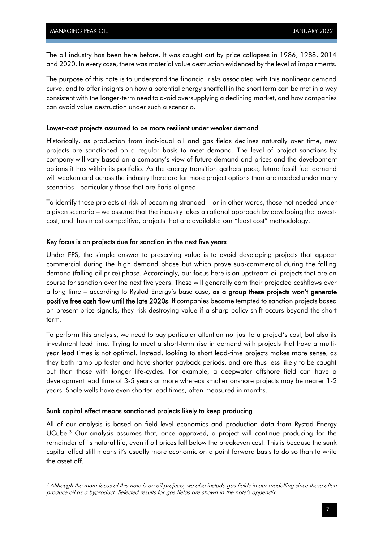The oil industry has been here before. It was caught out by price collapses in 1986, 1988, 2014 and 2020. In every case, there was material value destruction evidenced by the level of impairments.

The purpose of this note is to understand the financial risks associated with this nonlinear demand curve, and to offer insights on how a potential energy shortfall in the short term can be met in a way consistent with the longer-term need to avoid oversupplying a declining market, and how companies can avoid value destruction under such a scenario.

#### Lower-cost projects assumed to be more resilient under weaker demand

Historically, as production from individual oil and gas fields declines naturally over time, new projects are sanctioned on a regular basis to meet demand. The level of project sanctions by company will vary based on a company's view of future demand and prices and the development options it has within its portfolio. As the energy transition gathers pace, future fossil fuel demand will weaken and across the industry there are far more project options than are needed under many scenarios - particularly those that are Paris-aligned.

To identify those projects at risk of becoming stranded – or in other words, those not needed under a given scenario – we assume that the industry takes a rational approach by developing the lowestcost, and thus most competitive, projects that are available: our "least cost" methodology.

#### Key focus is on projects due for sanction in the next five years

Under FPS, the simple answer to preserving value is to avoid developing projects that appear commercial during the high demand phase but which prove sub-commercial during the falling demand (falling oil price) phase. Accordingly, our focus here is on upstream oil projects that are on course for sanction over the next five years. These will generally earn their projected cashflows over a long time – according to Rystad Energy's base case, as a group these projects won't generate positive free cash flow until the late 2020s. If companies become tempted to sanction projects based on present price signals, they risk destroying value if a sharp policy shift occurs beyond the short term.

To perform this analysis, we need to pay particular attention not just to a project's cost, but also its investment lead time. Trying to meet a short-term rise in demand with projects that have a multiyear lead times is not optimal. Instead, looking to short lead-time projects makes more sense, as they both ramp up faster and have shorter payback periods, and are thus less likely to be caught out than those with longer life-cycles. For example, a deepwater offshore field can have a development lead time of 3-5 years or more whereas smaller onshore projects may be nearer 1-2 years. Shale wells have even shorter lead times, often measured in months.

#### Sunk capital effect means sanctioned projects likely to keep producing

All of our analysis is based on field-level economics and production data from Rystad Energy UCube.<sup>3</sup> Our analysis assumes that, once approved, a project will continue producing for the remainder of its natural life, even if oil prices fall below the breakeven cost. This is because the sunk capital effect still means it's usually more economic on a point forward basis to do so than to write the asset off.

 $3$  Although the main focus of this note is on oil projects, we also include gas fields in our modelling since these often produce oil as a byproduct. Selected results for gas fields are shown in the note's appendix.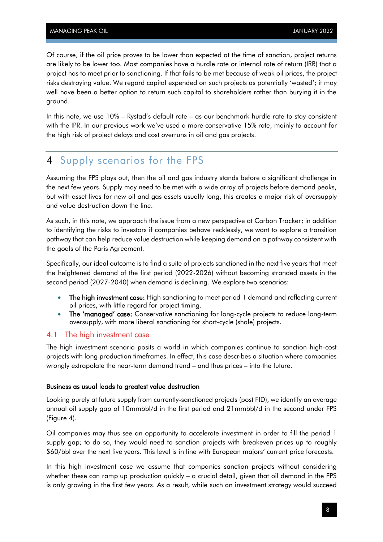Of course, if the oil price proves to be lower than expected at the time of sanction, project returns are likely to be lower too. Most companies have a hurdle rate or internal rate of return (IRR) that a project has to meet prior to sanctioning. If that fails to be met because of weak oil prices, the project risks destroying value. We regard capital expended on such projects as potentially 'wasted'; it may well have been a better option to return such capital to shareholders rather than burying it in the ground.

In this note, we use 10% – Rystad's default rate – as our benchmark hurdle rate to stay consistent with the IPR. In our previous work we've used a more conservative 15% rate, mainly to account for the high risk of project delays and cost overruns in oil and gas projects.

## <span id="page-10-0"></span>4 Supply scenarios for the FPS

Assuming the FPS plays out, then the oil and gas industry stands before a significant challenge in the next few years. Supply may need to be met with a wide array of projects before demand peaks, but with asset lives for new oil and gas assets usually long, this creates a major risk of oversupply and value destruction down the line.

As such, in this note, we approach the issue from a new perspective at Carbon Tracker; in addition to identifying the risks to investors if companies behave recklessly, we want to explore a transition pathway that can help reduce value destruction while keeping demand on a pathway consistent with the goals of the Paris Agreement.

Specifically, our ideal outcome is to find a suite of projects sanctioned in the next five years that meet the heightened demand of the first period (2022-2026) without becoming stranded assets in the second period (2027-2040) when demand is declining. We explore two scenarios:

- The high investment case: High sanctioning to meet period 1 demand and reflecting current oil prices, with little regard for project timing.
- The 'managed' case: Conservative sanctioning for long-cycle projects to reduce long-term oversupply, with more liberal sanctioning for short-cycle (shale) projects.

#### <span id="page-10-1"></span>4.1 The high investment case

The high investment scenario posits a world in which companies continue to sanction high-cost projects with long production timeframes. In effect, this case describes a situation where companies wrongly extrapolate the near-term demand trend – and thus prices – into the future.

#### Business as usual leads to greatest value destruction

Looking purely at future supply from currently-sanctioned projects (post FID), we identify an average annual oil supply gap of 10mmbbl/d in the first period and 21mmbbl/d in the second under FPS [\(Figure 4\)](#page-11-0).

Oil companies may thus see an opportunity to accelerate investment in order to fill the period 1 supply gap; to do so, they would need to sanction projects with breakeven prices up to roughly \$60/bbl over the next five years. This level is in line with European majors' current price forecasts.

In this high investment case we assume that companies sanction projects without considering whether these can ramp up production quickly – a crucial detail, given that oil demand in the FPS is only growing in the first few years. As a result, while such an investment strategy would succeed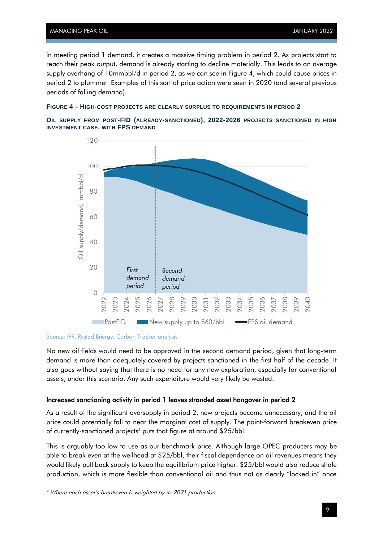in meeting period 1 demand, it creates a massive timing problem in period 2. As projects start to reach their peak output, demand is already starting to decline materially. This leads to an average supply overhang of 10mmbbl/d in period 2, as we can see in [Figure 4,](#page-11-0) which could cause prices in period 2 to plummet. Examples of this sort of price action were seen in 2020 (and several previous periods of falling demand).

#### <span id="page-11-0"></span>**FIGURE 4 – HIGH-COST PROJECTS ARE CLEARLY SURPLUS TO REQUIREMENTS IN PERIOD 2**

**OIL SUPPLY FROM POST-FID (ALREADY-SANCTIONED), 2022-2026 PROJECTS SANCTIONED IN HIGH INVESTMENT CASE, WITH FPS DEMAND**



#### Source: IPR, Rystad Energy, Carbon Tracker analysis

No new oil fields would need to be approved in the second demand period, given that long-term demand is more than adequately covered by projects sanctioned in the first half of the decade. It also goes without saying that there is no need for any new exploration, especially for conventional assets, under this scenario. Any such expenditure would very likely be wasted.

#### Increased sanctioning activity in period 1 leaves stranded asset hangover in period 2

As a result of the significant oversupply in period 2, new projects become unnecessary, and the oil price could potentially fall to near the marginal cost of supply. The point-forward breakeven price of currently-sanctioned projects<sup>4</sup> puts that figure at around \$25/bbl.

This is arguably too low to use as our benchmark price. Although large OPEC producers may be able to break even at the wellhead at \$25/bbl, their fiscal dependence on oil revenues means they would likely pull back supply to keep the equilibrium price higher. \$25/bbl would also reduce shale production, which is more flexible than conventional oil and thus not as clearly "locked in" once

<sup>4</sup> Where each asset's breakeven is weighted by its 2021 production.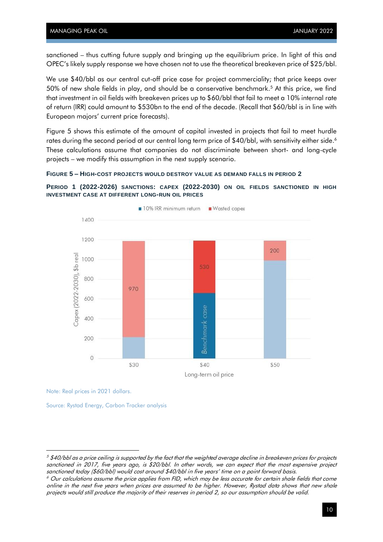sanctioned – thus cutting future supply and bringing up the equilibrium price. In light of this and OPEC's likely supply response we have chosen not to use the theoretical breakeven price of \$25/bbl.

We use \$40/bbl as our central cut-off price case for project commerciality; that price keeps over 50% of new shale fields in play, and should be a conservative benchmark.<sup>5</sup> At this price, we find that investment in oil fields with breakeven prices up to \$60/bbl that fail to meet a 10% internal rate of return (IRR) could amount to \$530bn to the end of the decade. (Recall that \$60/bbl is in line with European majors' current price forecasts)[.](#page-12-0)

[Figure 5](#page-12-0) shows this estimate of the amount of capital invested in projects that fail to meet hurdle rates during the second period at our central long term price of \$40/bbl, with sensitivity either side. 6 These calculations assume that companies do not discriminate between short- and long-cycle projects – we modify this assumption in the next supply scenario.



**PERIOD 1 (2022-2026) SANCTIONS: CAPEX (2022-2030) ON OIL FIELDS SANCTIONED IN HIGH INVESTMENT CASE AT DIFFERENT LONG-RUN OIL PRICES**

<span id="page-12-0"></span>

Note: Real prices in 2021 dollars.

Source: Rystad Energy, Carbon Tracker analysis

 $5$  \$40/bbl as a price ceiling is supported by the fact that the weighted average decline in breakeven prices for projects sanctioned in 2017, five years ago, is \$20/bbl. In other words, we can expect that the most expensive project sanctioned today (\$60/bbl) would cost around \$40/bbl in five years' time on a point forward basis.

 $6$  Our calculations assume the price applies from FID, which may be less accurate for certain shale fields that come online in the next five years when prices are assumed to be higher. However, Rystad data shows that new shale projects would still produce the majority of their reserves in period 2, so our assumption should be valid.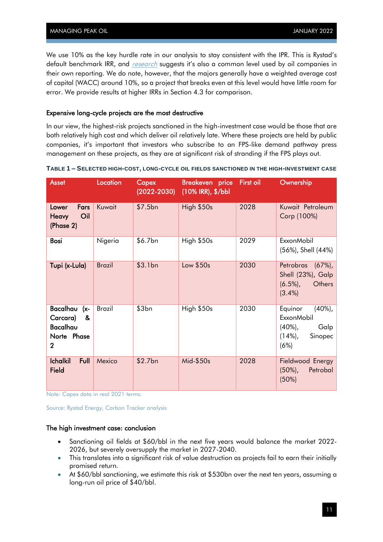We use 10% as the key hurdle rate in our analysis to stay consistent with the IPR. This is Rystad's default benchmark IRR, and *[research](https://www.oxfordenergy.org/wpcms/wp-content/uploads/2019/01/Energy-Transition-Uncertainty-and-the-Implications-of-Change-in-the-Risk-Preferences-of-Fossil-Fuel-Investors-Insight-45.pdf)* suggests it's also a common level used by oil companies in their own reporting. We do note, however, that the majors generally have a weighted average cost of capital (WACC) around 10%, so a project that breaks even at this level would have little room for error. We provide results at higher IRRs in Section [4.3](#page-21-0) for comparison.

#### Expensive long-cycle projects are the most destructive

In our view, the highest-risk projects sanctioned in the high-investment case would be those that are both relatively high cost and which deliver oil relatively late. Where these projects are held by public companies, it's important that investors who subscribe to an FPS-like demand pathway press management on these projects, as they are at significant risk of stranding if the FPS plays out.

| <b>Asset</b>                                                     | Location      | Capex<br>$(2022 - 2030)$ | Breakeven price First oil<br>(10% IRR), \$/bbl |      | Ownership                                                                                  |
|------------------------------------------------------------------|---------------|--------------------------|------------------------------------------------|------|--------------------------------------------------------------------------------------------|
| Fars<br>Lower<br>Oil<br><b>Heavy</b><br>(Phase 2)                | Kuwait        | \$7.5bn                  | High \$50s                                     | 2028 | Kuwait Petroleum<br>Corp (100%)                                                            |
| Bosi                                                             | Nigeria       | \$6.7bn                  | High \$50s                                     | 2029 | <b>ExxonMobil</b><br>(56%), Shell (44%)                                                    |
| Tupi (x-Lula)                                                    | <b>Brazil</b> | \$3.1bn                  | Low \$50s                                      | 2030 | Petrobras (67%),<br>Shell (23%), Galp<br>Others<br>$(6.5\%)$ ,<br>$(3.4\%)$                |
| Bacalhau<br>(x-<br>&<br>Carcara)<br>Bacalhau<br>Norte Phase<br>2 | <b>Brazil</b> | \$3bn                    | High \$50s                                     | 2030 | Equinor<br>$(40\%)$ ,<br><b>ExxonMobil</b><br>$(40\%)$<br>Galp<br>Sinopec<br>(14%)<br>(6%) |
| Full<br><b>Ichalkil</b><br><b>Field</b>                          | Mexico        | \$2.7bn                  | Mid-\$50s                                      | 2028 | Fieldwood Energy<br>$(50\%)$ ,<br>Petrobal<br>(50%)                                        |

Note: Capex data in real 2021 terms.

Source: Rystad Energy, Carbon Tracker analysis

#### The high investment case: conclusion

- Sanctioning oil fields at \$60/bbl in the next five years would balance the market 2022- 2026, but severely oversupply the market in 2027-2040.
- This translates into a significant risk of value destruction as projects fail to earn their initially promised return.
- At \$60/bbl sanctioning, we estimate this risk at \$530bn over the next ten years, assuming a long-run oil price of \$40/bbl.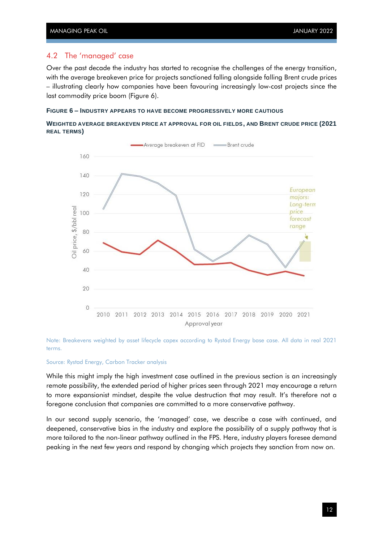#### <span id="page-14-0"></span>4.2 The 'managed' case

Over the past decade the industry has started to recognise the challenges of the energy transition, with the average breakeven price for projects sanctioned falling alongside falling Brent crude prices – illustrating clearly how companies have been favouring increasingly low-cost projects since the last commodity price boom [\(Figure 6\)](#page-14-1).

#### <span id="page-14-1"></span>**FIGURE 6 – INDUSTRY APPEARS TO HAVE BECOME PROGRESSIVELY MORE CAUTIOUS**

#### **WEIGHTED AVERAGE BREAKEVEN PRICE AT APPROVAL FOR OIL FIELDS, AND BRENT CRUDE PRICE (2021 REAL TERMS)**



Note: Breakevens weighted by asset lifecycle capex according to Rystad Energy base case. All data in real 2021 terms.

#### Source: Rystad Energy, Carbon Tracker analysis

While this might imply the high investment case outlined in the previous section is an increasingly remote possibility, the extended period of higher prices seen through 2021 may encourage a return to more expansionist mindset, despite the value destruction that may result. It's therefore not a foregone conclusion that companies are committed to a more conservative pathway.

In our second supply scenario, the 'managed' case, we describe a case with continued, and deepened, conservative bias in the industry and explore the possibility of a supply pathway that is more tailored to the non-linear pathway outlined in the FPS. Here, industry players foresee demand peaking in the next few years and respond by changing which projects they sanction from now on.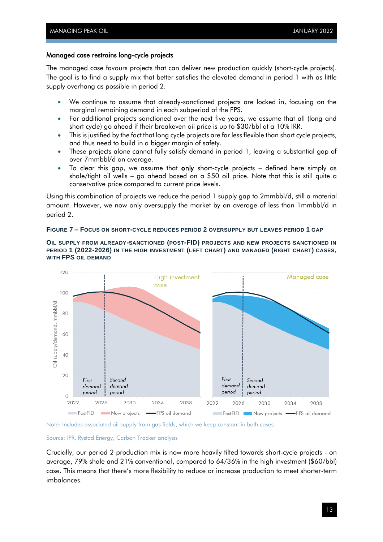#### Managed case restrains long-cycle projects

The managed case favours projects that can deliver new production quickly (short-cycle projects). The goal is to find a supply mix that better satisfies the elevated demand in period 1 with as little supply overhang as possible in period 2.

- We continue to assume that already-sanctioned projects are locked in, focusing on the marginal remaining demand in each subperiod of the FPS.
- For additional projects sanctioned over the next five years, we assume that all (long and short cycle) go ahead if their breakeven oil price is up to \$30/bbl at a 10% IRR.
- This is justified by the fact that long cycle projects are far less flexible than short cycle projects, and thus need to build in a bigger margin of safety.
- These projects alone cannot fully satisfy demand in period 1, leaving a substantial gap of over 7mmbbl/d on average.
- To clear this gap, we assume that only short-cycle projects  $-$  defined here simply as shale/tight oil wells – go ahead based on a \$50 oil price. Note that this is still quite a conservative price compared to current price levels.

Using this combination of projects we reduce the period 1 supply gap to 2mmbbl/d, still a material amount. However, we now only oversupply the market by an average of less than 1mmbbl/d in period 2.

#### **FIGURE 7 – FOCUS ON SHORT-CYCLE REDUCES PERIOD 2 OVERSUPPLY BUT LEAVES PERIOD 1 GAP**

**OIL SUPPLY FROM ALREADY-SANCTIONED (POST-FID) PROJECTS AND NEW PROJECTS SANCTIONED IN PERIOD 1 (2022-2026) IN THE HIGH INVESTMENT (LEFT CHART) AND MANAGED (RIGHT CHART) CASES, WITH FPS OIL DEMAND**





#### Source: IPR, Rystad Energy, Carbon Tracker analysis

Crucially, our period 2 production mix is now more heavily tilted towards short-cycle projects - on average, 79% shale and 21% conventional, compared to 64/36% in the high investment (\$60/bbl) case. This means that there's more flexibility to reduce or increase production to meet shorter-term imbalances.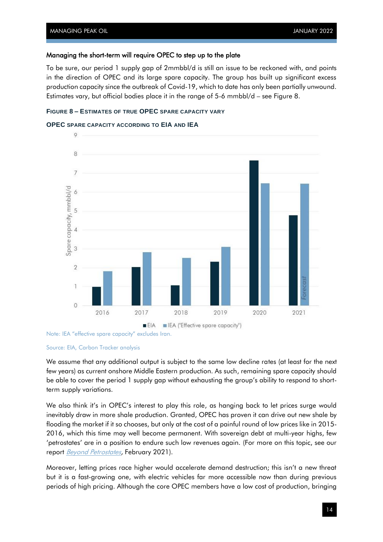#### Managing the short-term will require OPEC to step up to the plate

To be sure, our period 1 supply gap of 2mmbbl/d is still an issue to be reckoned with, and points in the direction of OPEC and its large spare capacity. The group has built up significant excess production capacity since the outbreak of Covid-19, which to date has only been partially unwound. Estimates vary, but official bodies place it in the range of 5-6 mmbbl/d – see [Figure 8.](#page-16-0)

#### <span id="page-16-0"></span>**FIGURE 8 – ESTIMATES OF TRUE OPEC SPARE CAPACITY VARY**

#### **OPEC SPARE CAPACITY ACCORDING TO EIA AND IEA**



Note: IEA "effective spare capacity" excludes Iran.

#### Source: EIA, Carbon Tracker analysis

We assume that any additional output is subject to the same low decline rates (at least for the next few years) as current onshore Middle Eastern production. As such, remaining spare capacity should be able to cover the period 1 supply gap without exhausting the group's ability to respond to shortterm supply variations.

We also think it's in OPEC's interest to play this role, as hanging back to let prices surge would inevitably draw in more shale production. Granted, OPEC has proven it can drive out new shale by flooding the market if it so chooses, but only at the cost of a painful round of low prices like in 2015- 2016, which this time may well become permanent. With sovereign debt at multi-year highs, few 'petrostates' are in a position to endure such low revenues again. (For more on this topic, see our report **Beyond Petrostates**, February 2021).

Moreover, letting prices race higher would accelerate demand destruction; this isn't a new threat but it is a fast-growing one, with electric vehicles far more accessible now than during previous periods of high pricing. Although the core OPEC members have a low cost of production, bringing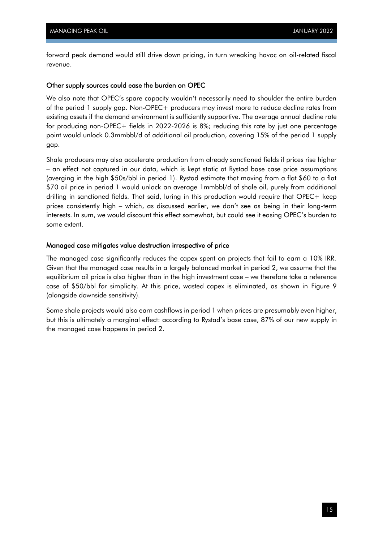forward peak demand would still drive down pricing, in turn wreaking havoc on oil-related fiscal revenue.

#### Other supply sources could ease the burden on OPEC

We also note that OPEC's spare capacity wouldn't necessarily need to shoulder the entire burden of the period 1 supply gap. Non-OPEC+ producers may invest more to reduce decline rates from existing assets if the demand environment is sufficiently supportive. The average annual decline rate for producing non-OPEC+ fields in 2022-2026 is 8%; reducing this rate by just one percentage point would unlock 0.3mmbbl/d of additional oil production, covering 15% of the period 1 supply gap.

Shale producers may also accelerate production from already sanctioned fields if prices rise higher – an effect not captured in our data, which is kept static at Rystad base case price assumptions (averging in the high \$50s/bbl in period 1). Rystad estimate that moving from a flat \$60 to a flat \$70 oil price in period 1 would unlock an average 1mmbbl/d of shale oil, purely from additional drilling in sanctioned fields. That said, luring in this production would require that OPEC+ keep prices consistently high – which, as discussed earlier, we don't see as being in their long-term interests. In sum, we would discount this effect somewhat, but could see it easing OPEC's burden to some extent.

#### Managed case mitigates value destruction irrespective of price

The managed case significantly reduces the capex spent on projects that fail to earn a 10% IRR. Given that the managed case results in a largely balanced market in period 2, we assume that the equilibrium oil price is also higher than in the high investment case – we therefore take a reference case of \$50/bbl for simplicity. At this price, wasted capex is eliminated, as shown in [Figure 9](#page-18-0) (alongside downside sensitivity).

Some shale projects would also earn cashflows in period 1 when prices are presumably even higher, but this is ultimately a marginal effect: according to Rystad's base case, 87% of our new supply in the managed case happens in period 2.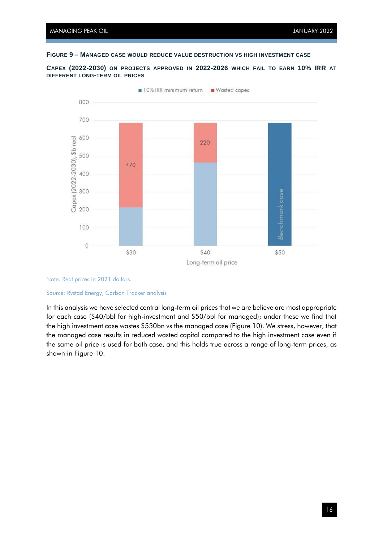#### <span id="page-18-0"></span>**FIGURE 9 – MANAGED CASE WOULD REDUCE VALUE DESTRUCTION VS HIGH INVESTMENT CASE**

**CAPEX (2022-2030) ON PROJECTS APPROVED IN 2022-2026 WHICH FAIL TO EARN 10% IRR AT DIFFERENT LONG-TERM OIL PRICES**



Note: Real prices in 2021 dollars.

#### Source: Rystad Energy, Carbon Tracker analysis

In this analysis we have selected central long-term oil prices that we are believe are most appropriate for each case (\$40/bbl for high-investment and \$50/bbl for managed); under these we find that the high investment case wastes \$530bn vs the managed case [\(Figure 10\)](#page-19-0). We stress, however, that the managed case results in reduced wasted capital compared to the high investment case even if the same oil price is used for both case, and this holds true across a range of long-term prices, as shown in [Figure 10.](#page-19-0)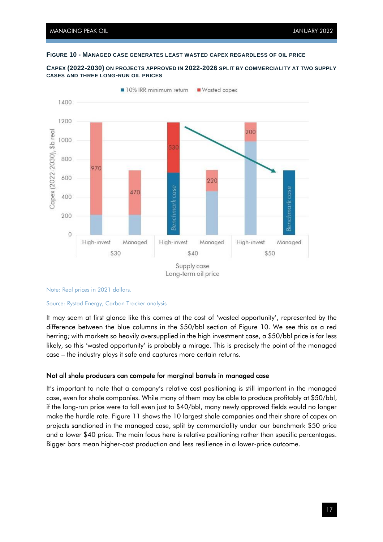#### <span id="page-19-0"></span>**FIGURE 10 - MANAGED CASE GENERATES LEAST WASTED CAPEX REGARDLESS OF OIL PRICE**





#### Note: Real prices in 2021 dollars.

#### Source: Rystad Energy, Carbon Tracker analysis

It may seem at first glance like this comes at the cost of 'wasted opportunity', represented by the difference between the blue columns in the \$50/bbl section of [Figure 10.](#page-19-0) We see this as a red herring; with markets so heavily oversupplied in the high investment case, a \$50/bbl price is far less likely, so this 'wasted opportunity' is probably a mirage. This is precisely the point of the managed case – the industry plays it safe and captures more certain returns.

#### Not all shale producers can compete for marginal barrels in managed case

It's important to note that a company's relative cost positioning is still important in the managed case, even for shale companies. While many of them may be able to produce profitably at \$50/bbl, if the long-run price were to fall even just to \$40/bbl, many newly approved fields would no longer make the hurdle rate. [Figure 11](#page-20-0) shows the 10 largest shale companies and their share of capex on projects sanctioned in the managed case, split by commerciality under our benchmark \$50 price and a lower \$40 price. The main focus here is relative positioning rather than specific percentages. Bigger bars mean higher-cost production and less resilience in a lower-price outcome.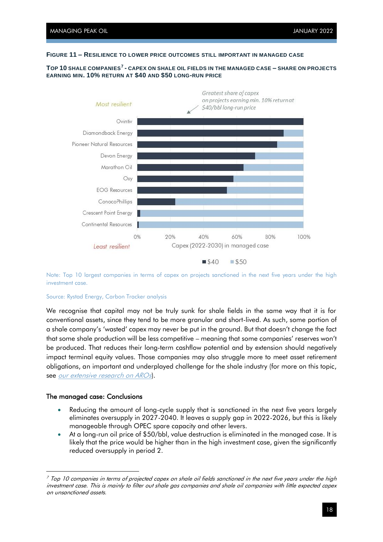#### <span id="page-20-0"></span>**FIGURE 11 – RESILIENCE TO LOWER PRICE OUTCOMES STILL IMPORTANT IN MANAGED CASE**

#### **TOP 10 SHALE COMPANIES<sup>7</sup> - CAPEX ON SHALE OIL FIELDS IN THE MANAGED CASE – SHARE ON PROJECTS EARNING MIN. 10% RETURN AT \$40 AND \$50 LONG-RUN PRICE**



Note: Top 10 largest companies in terms of capex on projects sanctioned in the next five years under the high investment case.

#### Source: Rystad Energy, Carbon Tracker analysis

We recognise that capital may not be truly sunk for shale fields in the same way that it is for conventional assets, since they tend to be more granular and short-lived. As such, some portion of a shale company's 'wasted' capex may never be put in the ground. But that doesn't change the fact that some shale production will be less competitive – meaning that some companies' reserves won't be produced. That reduces their long-term cashflow potential and by extension should negatively impact terminal equity values. Those companies may also struggle more to meet asset retirement obligations, an important and underplayed challenge for the shale industry (for more on this topic, see [our extensive research on AROs](https://carbontracker.org/reports/race-to-the-top/)).

#### The managed case: Conclusions

- Reducing the amount of long-cycle supply that is sanctioned in the next five years largely eliminates oversupply in 2027-2040. It leaves a supply gap in 2022-2026, but this is likely manageable through OPEC spare capacity and other levers.
- At a long-run oil price of \$50/bbl, value destruction is eliminated in the managed case. It is likely that the price would be higher than in the high investment case, given the significantly reduced oversupply in period 2.

 $<sup>7</sup>$  Top 10 companies in terms of projected capex on shale oil fields sanctioned in the next five years under the high</sup> investment case. This is mainly to filter out shale gas companies and shale oil companies with little expected capex on unsanctioned assets.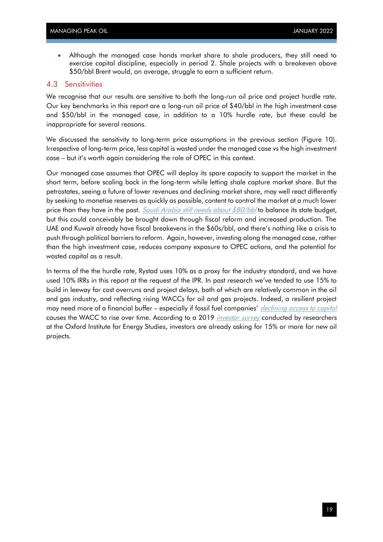• Although the managed case hands market share to shale producers, they still need to exercise capital discipline, especially in period 2. Shale projects with a breakeven above \$50/bbl Brent would, on average, struggle to earn a sufficient return.

#### <span id="page-21-0"></span>4.3 Sensitivities

We recognise that our results are sensitive to both the long-run oil price and project hurdle rate. Our key benchmarks in this report are a long-run oil price of \$40/bbl in the high investment case and \$50/bbl in the managed case, in addition to a 10% hurdle rate, but these could be inappropriate for several reasons.

We discussed the sensitivity to long-term price assumptions in the previous section [\(Figure 10\)](#page-19-0). Irrespective of long-term price, less capital is wasted under the managed case vs the high investment case – but it's worth again considering the role of OPEC in this context.

Our managed case assumes that OPEC will deploy its spare capacity to support the market in the short term, before scaling back in the long-term while letting shale capture market share. But the petrostates, seeing a future of lower revenues and declining market share, may well react differently by seeking to monetise reserves as quickly as possible, content to control the market at a much lower price than they have in the past. [Saudi Arabia still needs about](https://data.imf.org/regular.aspx?key=60214246) \$80/bbl to balance its state budget, but this could conceivably be brought down through fiscal reform and increased production. The UAE and Kuwait already have fiscal breakevens in the \$60s/bbl, and there's nothing like a crisis to push through political barriers to reform. Again, however, investing along the managed case, rather than the high investment case, reduces company exposure to OPEC actions, and the potential for wasted capital as a result.

In terms of the the hurdle rate, Rystad uses 10% as a proxy for the industry standard, and we have used 10% IRRs in this report at the request of the IPR. In past research we've tended to use 15% to build in leeway for cost overruns and project delays, both of which are relatively common in the oil and gas industry, and reflecting rising WACCs for oil and gas projects. Indeed, a resilient project may need more of a financial buffer – especially if fossil fuel companies' [declining access to capital](https://www.bloomberg.com/news/articles/2021-11-09/cost-of-capital-widens-for-fossil-fuel-producers-green-insight) causes the WACC to rise over time. According to a 2019 *[investor survey](https://www.oxfordenergy.org/wpcms/wp-content/uploads/2019/01/Energy-Transition-Uncertainty-and-the-Implications-of-Change-in-the-Risk-Preferences-of-Fossil-Fuel-Investors-Insight-45.pdf)* conducted by researchers at the Oxford Institute for Energy Studies, investors are already asking for 15% or more for new oil projects.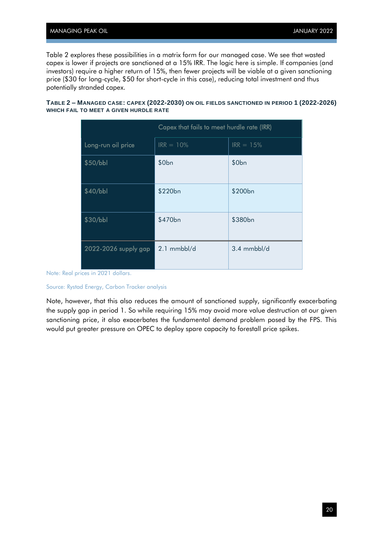[Table 2](#page-22-0) explores these possibilities in a matrix form for our managed case. We see that wasted capex is lower if projects are sanctioned at a 15% IRR. The logic here is simple. If companies (and investors) require a higher return of 15%, then fewer projects will be viable at a given sanctioning price (\$30 for long-cycle, \$50 for short-cycle in this case), reducing total investment and thus potentially stranded capex.

<span id="page-22-0"></span>**TABLE 2 – MANAGED CASE: CAPEX (2022-2030) ON OIL FIELDS SANCTIONED IN PERIOD 1 (2022-2026) WHICH FAIL TO MEET A GIVEN HURDLE RATE**

|                      | Capex that fails to meet hurdle rate (IRR) |                      |  |
|----------------------|--------------------------------------------|----------------------|--|
| Long-run oil price   | $IRR = 10%$                                | $IRR = 15%$          |  |
| \$50/bbl             | \$0 <sub>bn</sub>                          | \$0 <sub>bn</sub>    |  |
| \$40/bbl             | \$220bn                                    | \$200 <sub>bn</sub>  |  |
| \$30/bbl             | \$470 <sub>bn</sub>                        | \$380 <sub>bn</sub>  |  |
| 2022-2026 supply gap | 2.1 mmbbl/d                                | $3.4 \text{ mmbb}/d$ |  |

Note: Real prices in 2021 dollars.

Source: Rystad Energy, Carbon Tracker analysis

Note, however, that this also reduces the amount of sanctioned supply, significantly exacerbating the supply gap in period 1. So while requiring 15% may avoid more value destruction at our given sanctioning price, it also exacerbates the fundamental demand problem posed by the FPS. This would put greater pressure on OPEC to deploy spare capacity to forestall price spikes.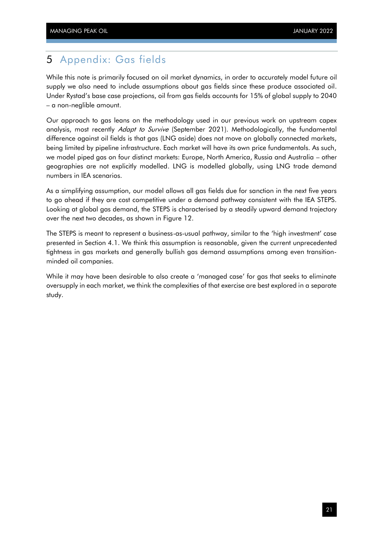### <span id="page-23-0"></span>5 Appendix: Gas fields

While this note is primarily focused on oil market dynamics, in order to accurately model future oil supply we also need to include assumptions about gas fields since these produce associated oil. Under Rystad's base case projections, oil from gas fields accounts for 15% of global supply to 2040 – a non-neglible amount.

Our approach to gas leans on the methodology used in our previous work on upstream capex analysis, most recently *Adapt to Survive* (September 2021). Methodologically, the fundamental difference against oil fields is that gas (LNG aside) does not move on globally connected markets, being limited by pipeline infrastructure. Each market will have its own price fundamentals. As such, we model piped gas on four distinct markets: Europe, North America, Russia and Australia – other geographies are not explicitly modelled. LNG is modelled globally, using LNG trade demand numbers in IEA scenarios.

As a simplifying assumption, our model allows all gas fields due for sanction in the next five years to go ahead if they are cost competitive under a demand pathway consistent with the IEA STEPS. Looking at global gas demand, the STEPS is characterised by a steadily upward demand trajectory over the next two decades, as shown in [Figure 12.](#page-24-0)

The STEPS is meant to represent a business-as-usual pathway, similar to the 'high investment' case presented in Section [4.1.](#page-10-1) We think this assumption is reasonable, given the current unprecedented tightness in gas markets and generally bullish gas demand assumptions among even transitionminded oil companies.

While it may have been desirable to also create a 'managed case' for gas that seeks to eliminate oversupply in each market, we think the complexities of that exercise are best explored in a separate study.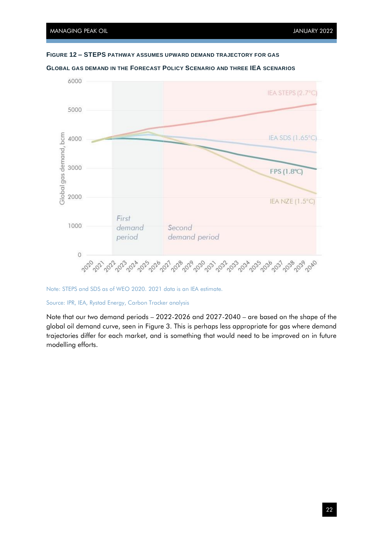<span id="page-24-0"></span>



**GLOBAL GAS DEMAND IN THE FORECAST POLICY SCENARIO AND THREE IEA SCENARIOS**

Note: STEPS and SDS as of WEO 2020. 2021 data is an IEA estimate.

Source: IPR, IEA, Rystad Energy, Carbon Tracker analysis

Note that our two demand periods – 2022-2026 and 2027-2040 – are based on the shape of the global oil demand curve, seen in [Figure 3.](#page-8-0) This is perhaps less appropriate for gas where demand trajectories differ for each market, and is something that would need to be improved on in future modelling efforts.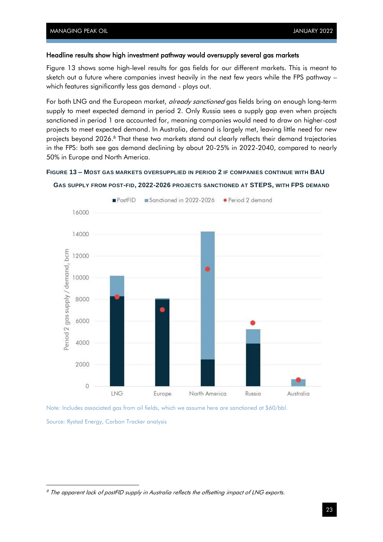#### Headline results show high investment pathway would oversupply several gas markets

[Figure 13](#page-25-0) shows some high-level results for gas fields for our different markets. This is meant to sketch out a future where companies invest heavily in the next few years while the FPS pathway – which features significantly less gas demand - plays out.

For both LNG and the European market, already sanctioned gas fields bring on enough long-term supply to meet expected demand in period 2. Only Russia sees a supply gap even when projects sanctioned in period 1 are accounted for, meaning companies would need to draw on higher-cost projects to meet expected demand. In Australia, demand is largely met, leaving little need for new projects beyond 2026. <sup>8</sup> That these two markets stand out clearly reflects their demand trajectories in the FPS: both see gas demand declining by about 20-25% in 2022-2040, compared to nearly 50% in Europe and North America.

#### <span id="page-25-0"></span>**FIGURE 13 – MOST GAS MARKETS OVERSUPPLIED IN PERIOD 2 IF COMPANIES CONTINUE WITH BAU**





Note: Includes associated gas from oil fields, which we assume here are sanctioned at \$60/bbl.

Source: Rystad Energy, Carbon Tracker analysis

<sup>&</sup>lt;sup>8</sup> The apparent lack of postFID supply in Australia reflects the offsetting impact of LNG exports.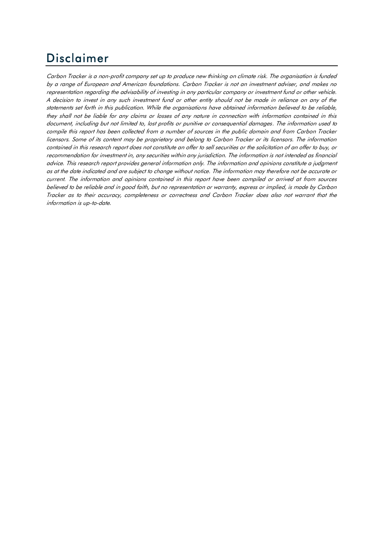# Disclaimer

Carbon Tracker is a non-profit company set up to produce new thinking on climate risk. The organisation is funded by a range of European and American foundations. Carbon Tracker is not an investment adviser, and makes no representation regarding the advisability of investing in any particular company or investment fund or other vehicle. A decision to invest in any such investment fund or other entity should not be made in reliance on any of the statements set forth in this publication. While the organisations have obtained information believed to be reliable, they shall not be liable for any claims or losses of any nature in connection with information contained in this document, including but not limited to, lost profits or punitive or consequential damages. The information used to compile this report has been collected from a number of sources in the public domain and from Carbon Tracker licensors. Some of its content may be proprietary and belong to Carbon Tracker or its licensors. The information contained in this research report does not constitute an offer to sell securities or the solicitation of an offer to buy, or recommendation for investment in, any securities within any jurisdiction. The information is not intended as financial advice. This research report provides general information only. The information and opinions constitute a judgment as at the date indicated and are subject to change without notice. The information may therefore not be accurate or current. The information and opinions contained in this report have been compiled or arrived at from sources believed to be reliable and in good faith, but no representation or warranty, express or implied, is made by Carbon Tracker as to their accuracy, completeness or correctness and Carbon Tracker does also not warrant that the information is up-to-date.